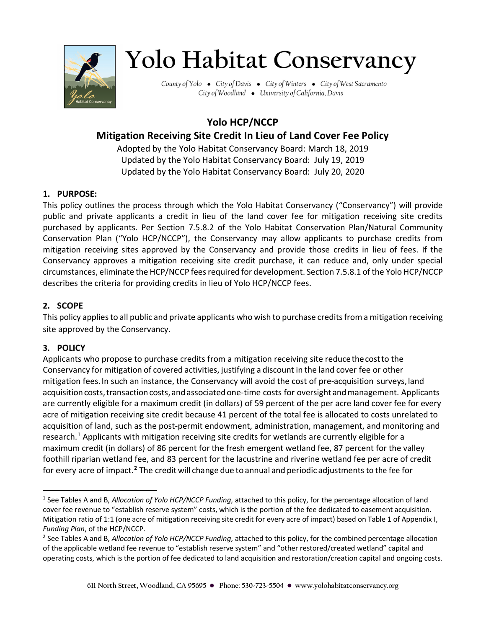

# **Yolo Habitat Conservancy**

County of Yolo • City of Davis • City of Winters • City of West Sacramento City of Woodland • University of California, Davis

## **Yolo HCP/NCCP**

### **Mitigation Receiving Site Credit In Lieu of Land Cover Fee Policy**

Adopted by the Yolo Habitat Conservancy Board: March 18, 2019 Updated by the Yolo Habitat Conservancy Board: July 19, 2019 Updated by the Yolo Habitat Conservancy Board: July 20, 2020

#### **1. PURPOSE:**

This policy outlines the process through which the Yolo Habitat Conservancy ("Conservancy") will provide public and private applicants a credit in lieu of the land cover fee for mitigation receiving site credits purchased by applicants. Per Section 7.5.8.2 of the Yolo Habitat Conservation Plan/Natural Community Conservation Plan ("Yolo HCP/NCCP"), the Conservancy may allow applicants to purchase credits from mitigation receiving sites approved by the Conservancy and provide those credits in lieu of fees. If the Conservancy approves a mitigation receiving site credit purchase, it can reduce and, only under special circumstances, eliminate the HCP/NCCP fees required for development. Section 7.5.8.1 of the Yolo HCP/NCCP describes the criteria for providing credits in lieu of Yolo HCP/NCCP fees.

#### **2. SCOPE**

This policy applies to all public and private applicants who wish to purchase credits from a mitigation receiving site approved by the Conservancy.

#### **3. POLICY**

Applicants who propose to purchase credits from a mitigation receiving site reducethecostto the Conservancy for mitigation of covered activities, justifying a discount in the land cover fee or other mitigation fees.In such an instance, the Conservancy will avoid the cost of pre-acquisition surveys, land acquisition costs, transaction costs, and associated one-time costs for oversight and management. Applicants are currently eligible for a maximum credit (in dollars) of 59 percent of the per acre land cover fee for every acre of mitigation receiving site credit because 41 percent of the total fee is allocated to costs unrelated to acquisition of land, such as the post-permit endowment, administration, management, and monitoring and research.<sup>[1](#page-0-0)</sup> Applicants with mitigation receiving site credits for wetlands are currently eligible for a maximum credit (in dollars) of 86 percent for the fresh emergent wetland fee, 87 percent for the valley foothill riparian wetland fee, and 83 percent for the lacustrine and riverine wetland fee per acre of credit for every acre of impact.**[2](#page-0-1)** The credit will change due to annual and periodic adjustments to the fee for

<span id="page-0-0"></span><sup>1</sup> See Tables A and B, *Allocation of Yolo HCP/NCCP Funding*, attached to this policy, for the percentage allocation of land cover fee revenue to "establish reserve system" costs, which is the portion of the fee dedicated to easement acquisition. Mitigation ratio of 1:1 (one acre of mitigation receiving site credit for every acre of impact) based on Table 1 of Appendix I, *Funding Plan*, of the HCP/NCCP.

<span id="page-0-1"></span><sup>2</sup> See Tables A and B, *Allocation of Yolo HCP/NCCP Funding*, attached to this policy, for the combined percentage allocation of the applicable wetland fee revenue to "establish reserve system" and "other restored/created wetland" capital and operating costs, which is the portion of fee dedicated to land acquisition and restoration/creation capital and ongoing costs.